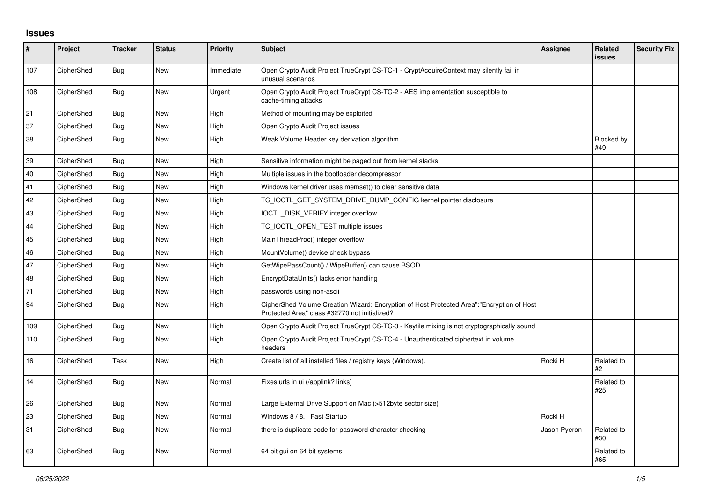## **Issues**

| $\pmb{\sharp}$ | Project    | <b>Tracker</b> | <b>Status</b> | <b>Priority</b> | <b>Subject</b>                                                                                                                             | Assignee     | Related<br><b>issues</b> | <b>Security Fix</b> |
|----------------|------------|----------------|---------------|-----------------|--------------------------------------------------------------------------------------------------------------------------------------------|--------------|--------------------------|---------------------|
| 107            | CipherShed | Bug            | <b>New</b>    | Immediate       | Open Crypto Audit Project TrueCrypt CS-TC-1 - CryptAcquireContext may silently fail in<br>unusual scenarios                                |              |                          |                     |
| 108            | CipherShed | Bug            | <b>New</b>    | Urgent          | Open Crypto Audit Project TrueCrypt CS-TC-2 - AES implementation susceptible to<br>cache-timing attacks                                    |              |                          |                     |
| 21             | CipherShed | <b>Bug</b>     | <b>New</b>    | High            | Method of mounting may be exploited                                                                                                        |              |                          |                     |
| 37             | CipherShed | Bug            | <b>New</b>    | High            | Open Crypto Audit Project issues                                                                                                           |              |                          |                     |
| 38             | CipherShed | Bug            | <b>New</b>    | High            | Weak Volume Header key derivation algorithm                                                                                                |              | <b>Blocked by</b><br>#49 |                     |
| 39             | CipherShed | Bug            | <b>New</b>    | High            | Sensitive information might be paged out from kernel stacks                                                                                |              |                          |                     |
| 40             | CipherShed | Bug            | New           | High            | Multiple issues in the bootloader decompressor                                                                                             |              |                          |                     |
| 41             | CipherShed | Bug            | <b>New</b>    | High            | Windows kernel driver uses memset() to clear sensitive data                                                                                |              |                          |                     |
| 42             | CipherShed | Bug            | New           | High            | TC_IOCTL_GET_SYSTEM_DRIVE_DUMP_CONFIG kernel pointer disclosure                                                                            |              |                          |                     |
| 43             | CipherShed | Bug            | <b>New</b>    | High            | IOCTL_DISK_VERIFY integer overflow                                                                                                         |              |                          |                     |
| 44             | CipherShed | Bug            | <b>New</b>    | High            | TC_IOCTL_OPEN_TEST multiple issues                                                                                                         |              |                          |                     |
| 45             | CipherShed | Bug            | New           | High            | MainThreadProc() integer overflow                                                                                                          |              |                          |                     |
| 46             | CipherShed | Bug            | <b>New</b>    | High            | MountVolume() device check bypass                                                                                                          |              |                          |                     |
| 47             | CipherShed | Bug            | <b>New</b>    | High            | GetWipePassCount() / WipeBuffer() can cause BSOD                                                                                           |              |                          |                     |
| 48             | CipherShed | Bug            | <b>New</b>    | High            | EncryptDataUnits() lacks error handling                                                                                                    |              |                          |                     |
| 71             | CipherShed | <b>Bug</b>     | <b>New</b>    | High            | passwords using non-ascii                                                                                                                  |              |                          |                     |
| 94             | CipherShed | Bug            | New           | High            | CipherShed Volume Creation Wizard: Encryption of Host Protected Area":"Encryption of Host<br>Protected Area" class #32770 not initialized? |              |                          |                     |
| 109            | CipherShed | Bug            | <b>New</b>    | High            | Open Crypto Audit Project TrueCrypt CS-TC-3 - Keyfile mixing is not cryptographically sound                                                |              |                          |                     |
| 110            | CipherShed | Bug            | <b>New</b>    | High            | Open Crypto Audit Project TrueCrypt CS-TC-4 - Unauthenticated ciphertext in volume<br>headers                                              |              |                          |                     |
| 16             | CipherShed | Task           | New           | High            | Create list of all installed files / registry keys (Windows).                                                                              | Rocki H      | Related to<br>#2         |                     |
| 14             | CipherShed | Bug            | <b>New</b>    | Normal          | Fixes urls in ui (/applink? links)                                                                                                         |              | Related to<br>#25        |                     |
| 26             | CipherShed | <b>Bug</b>     | <b>New</b>    | Normal          | Large External Drive Support on Mac (>512byte sector size)                                                                                 |              |                          |                     |
| 23             | CipherShed | Bug            | New           | Normal          | Windows 8 / 8.1 Fast Startup                                                                                                               | Rocki H      |                          |                     |
| 31             | CipherShed | Bug            | <b>New</b>    | Normal          | there is duplicate code for password character checking                                                                                    | Jason Pyeron | Related to<br>#30        |                     |
| 63             | CipherShed | Bug            | <b>New</b>    | Normal          | 64 bit gui on 64 bit systems                                                                                                               |              | Related to<br>#65        |                     |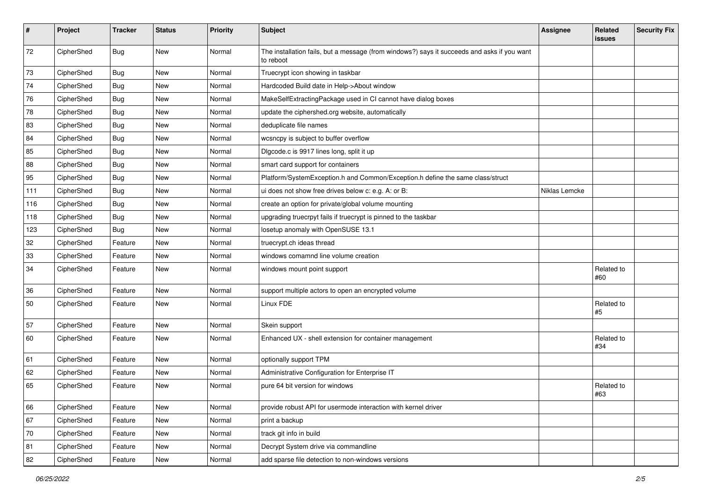| #   | Project    | <b>Tracker</b> | <b>Status</b> | Priority | Subject                                                                                                  | <b>Assignee</b> | Related<br><b>issues</b> | <b>Security Fix</b> |
|-----|------------|----------------|---------------|----------|----------------------------------------------------------------------------------------------------------|-----------------|--------------------------|---------------------|
| 72  | CipherShed | Bug            | New           | Normal   | The installation fails, but a message (from windows?) says it succeeds and asks if you want<br>to reboot |                 |                          |                     |
| 73  | CipherShed | <b>Bug</b>     | New           | Normal   | Truecrypt icon showing in taskbar                                                                        |                 |                          |                     |
| 74  | CipherShed | <b>Bug</b>     | New           | Normal   | Hardcoded Build date in Help->About window                                                               |                 |                          |                     |
| 76  | CipherShed | <b>Bug</b>     | New           | Normal   | MakeSelfExtractingPackage used in CI cannot have dialog boxes                                            |                 |                          |                     |
| 78  | CipherShed | <b>Bug</b>     | New           | Normal   | update the ciphershed.org website, automatically                                                         |                 |                          |                     |
| 83  | CipherShed | <b>Bug</b>     | New           | Normal   | deduplicate file names                                                                                   |                 |                          |                     |
| 84  | CipherShed | <b>Bug</b>     | New           | Normal   | wcsncpy is subject to buffer overflow                                                                    |                 |                          |                     |
| 85  | CipherShed | <b>Bug</b>     | New           | Normal   | Digcode.c is 9917 lines long, split it up                                                                |                 |                          |                     |
| 88  | CipherShed | Bug            | New           | Normal   | smart card support for containers                                                                        |                 |                          |                     |
| 95  | CipherShed | <b>Bug</b>     | New           | Normal   | Platform/SystemException.h and Common/Exception.h define the same class/struct                           |                 |                          |                     |
| 111 | CipherShed | Bug            | New           | Normal   | ui does not show free drives below c: e.g. A: or B:                                                      | Niklas Lemcke   |                          |                     |
| 116 | CipherShed | Bug            | New           | Normal   | create an option for private/global volume mounting                                                      |                 |                          |                     |
| 118 | CipherShed | Bug            | New           | Normal   | upgrading truecrpyt fails if truecrypt is pinned to the taskbar                                          |                 |                          |                     |
| 123 | CipherShed | <b>Bug</b>     | New           | Normal   | losetup anomaly with OpenSUSE 13.1                                                                       |                 |                          |                     |
| 32  | CipherShed | Feature        | New           | Normal   | truecrypt.ch ideas thread                                                                                |                 |                          |                     |
| 33  | CipherShed | Feature        | <b>New</b>    | Normal   | windows comamnd line volume creation                                                                     |                 |                          |                     |
| 34  | CipherShed | Feature        | New           | Normal   | windows mount point support                                                                              |                 | Related to<br>#60        |                     |
| 36  | CipherShed | Feature        | New           | Normal   | support multiple actors to open an encrypted volume                                                      |                 |                          |                     |
| 50  | CipherShed | Feature        | New           | Normal   | Linux FDE                                                                                                |                 | Related to<br>#5         |                     |
| 57  | CipherShed | Feature        | New           | Normal   | Skein support                                                                                            |                 |                          |                     |
| 60  | CipherShed | Feature        | New           | Normal   | Enhanced UX - shell extension for container management                                                   |                 | Related to<br>#34        |                     |
| 61  | CipherShed | Feature        | New           | Normal   | optionally support TPM                                                                                   |                 |                          |                     |
| 62  | CipherShed | Feature        | New           | Normal   | Administrative Configuration for Enterprise IT                                                           |                 |                          |                     |
| 65  | CipherShed | Feature        | New           | Normal   | pure 64 bit version for windows                                                                          |                 | Related to<br>#63        |                     |
| 66  | CipherShed | Feature        | New           | Normal   | provide robust API for usermode interaction with kernel driver                                           |                 |                          |                     |
| 67  | CipherShed | Feature        | New           | Normal   | print a backup                                                                                           |                 |                          |                     |
| 70  | CipherShed | Feature        | New           | Normal   | track git info in build                                                                                  |                 |                          |                     |
| 81  | CipherShed | Feature        | New           | Normal   | Decrypt System drive via commandline                                                                     |                 |                          |                     |
| 82  | CipherShed | Feature        | New           | Normal   | add sparse file detection to non-windows versions                                                        |                 |                          |                     |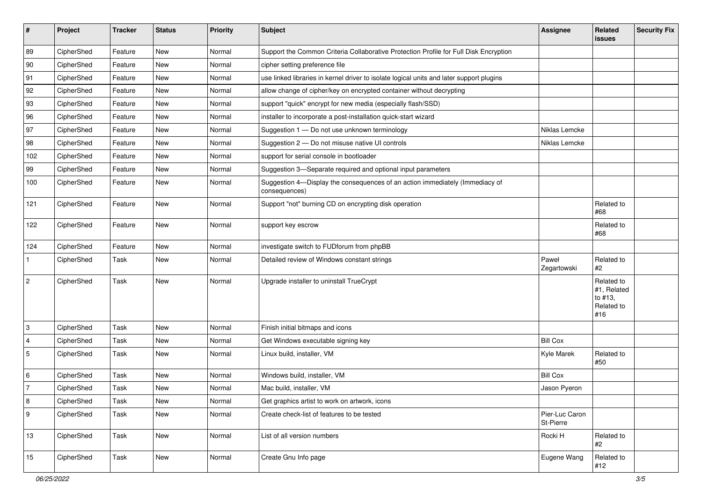| #              | Project    | <b>Tracker</b> | <b>Status</b> | Priority | Subject                                                                                       | <b>Assignee</b>             | Related<br><b>issues</b>                                  | <b>Security Fix</b> |
|----------------|------------|----------------|---------------|----------|-----------------------------------------------------------------------------------------------|-----------------------------|-----------------------------------------------------------|---------------------|
| 89             | CipherShed | Feature        | New           | Normal   | Support the Common Criteria Collaborative Protection Profile for Full Disk Encryption         |                             |                                                           |                     |
| 90             | CipherShed | Feature        | New           | Normal   | cipher setting preference file                                                                |                             |                                                           |                     |
| 91             | CipherShed | Feature        | New           | Normal   | use linked libraries in kernel driver to isolate logical units and later support plugins      |                             |                                                           |                     |
| 92             | CipherShed | Feature        | <b>New</b>    | Normal   | allow change of cipher/key on encrypted container without decrypting                          |                             |                                                           |                     |
| 93             | CipherShed | Feature        | New           | Normal   | support "quick" encrypt for new media (especially flash/SSD)                                  |                             |                                                           |                     |
| 96             | CipherShed | Feature        | <b>New</b>    | Normal   | installer to incorporate a post-installation quick-start wizard                               |                             |                                                           |                     |
| 97             | CipherShed | Feature        | New           | Normal   | Suggestion 1 - Do not use unknown terminology                                                 | Niklas Lemcke               |                                                           |                     |
| 98             | CipherShed | Feature        | New           | Normal   | Suggestion 2 - Do not misuse native UI controls                                               | Niklas Lemcke               |                                                           |                     |
| 102            | CipherShed | Feature        | <b>New</b>    | Normal   | support for serial console in bootloader                                                      |                             |                                                           |                     |
| 99             | CipherShed | Feature        | New           | Normal   | Suggestion 3-Separate required and optional input parameters                                  |                             |                                                           |                     |
| 100            | CipherShed | Feature        | New           | Normal   | Suggestion 4-Display the consequences of an action immediately (Immediacy of<br>consequences) |                             |                                                           |                     |
| 121            | CipherShed | Feature        | New           | Normal   | Support "not" burning CD on encrypting disk operation                                         |                             | Related to<br>#68                                         |                     |
| 122            | CipherShed | Feature        | New           | Normal   | support key escrow                                                                            |                             | Related to<br>#68                                         |                     |
| 124            | CipherShed | Feature        | <b>New</b>    | Normal   | investigate switch to FUDforum from phpBB                                                     |                             |                                                           |                     |
| $\mathbf{1}$   | CipherShed | Task           | New           | Normal   | Detailed review of Windows constant strings                                                   | Paweł<br>Zegartowski        | Related to<br>#2                                          |                     |
| $\overline{2}$ | CipherShed | Task           | <b>New</b>    | Normal   | Upgrade installer to uninstall TrueCrypt                                                      |                             | Related to<br>#1, Related<br>to #13,<br>Related to<br>#16 |                     |
| 3              | CipherShed | Task           | New           | Normal   | Finish initial bitmaps and icons                                                              |                             |                                                           |                     |
| $\overline{4}$ | CipherShed | Task           | New           | Normal   | Get Windows executable signing key                                                            | <b>Bill Cox</b>             |                                                           |                     |
| $\sqrt{5}$     | CipherShed | Task           | New           | Normal   | Linux build, installer, VM                                                                    | Kyle Marek                  | Related to<br>#50                                         |                     |
| 6              | CipherShed | Task           | New           | Normal   | Windows build, installer, VM                                                                  | <b>Bill Cox</b>             |                                                           |                     |
| $\overline{7}$ | CipherShed | Task           | New           | Normal   | Mac build, installer, VM                                                                      | Jason Pyeron                |                                                           |                     |
| 8              | CipherShed | Task           | New           | Normal   | Get graphics artist to work on artwork, icons                                                 |                             |                                                           |                     |
| 9              | CipherShed | Task           | New           | Normal   | Create check-list of features to be tested                                                    | Pier-Luc Caron<br>St-Pierre |                                                           |                     |
| 13             | CipherShed | Task           | New           | Normal   | List of all version numbers                                                                   | Rocki H                     | Related to<br>#2                                          |                     |
| 15             | CipherShed | Task           | New           | Normal   | Create Gnu Info page                                                                          | Eugene Wang                 | Related to<br>#12                                         |                     |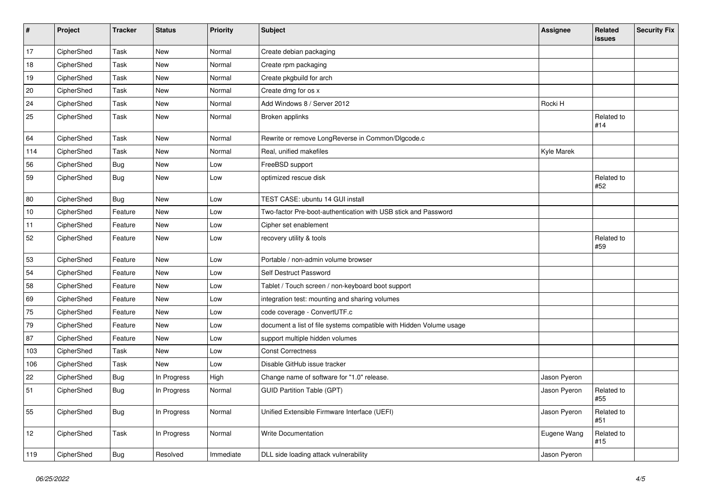| #   | Project    | <b>Tracker</b> | <b>Status</b> | Priority  | Subject                                                             | <b>Assignee</b> | Related<br><b>issues</b> | <b>Security Fix</b> |
|-----|------------|----------------|---------------|-----------|---------------------------------------------------------------------|-----------------|--------------------------|---------------------|
| 17  | CipherShed | Task           | <b>New</b>    | Normal    | Create debian packaging                                             |                 |                          |                     |
| 18  | CipherShed | Task           | <b>New</b>    | Normal    | Create rpm packaging                                                |                 |                          |                     |
| 19  | CipherShed | Task           | New           | Normal    | Create pkgbuild for arch                                            |                 |                          |                     |
| 20  | CipherShed | Task           | New           | Normal    | Create dmg for os x                                                 |                 |                          |                     |
| 24  | CipherShed | Task           | New           | Normal    | Add Windows 8 / Server 2012                                         | Rocki H         |                          |                     |
| 25  | CipherShed | Task           | New           | Normal    | Broken applinks                                                     |                 | Related to<br>#14        |                     |
| 64  | CipherShed | Task           | New           | Normal    | Rewrite or remove LongReverse in Common/Dlgcode.c                   |                 |                          |                     |
| 114 | CipherShed | Task           | New           | Normal    | Real, unified makefiles                                             | Kyle Marek      |                          |                     |
| 56  | CipherShed | <b>Bug</b>     | New           | Low       | FreeBSD support                                                     |                 |                          |                     |
| 59  | CipherShed | Bug            | New           | Low       | optimized rescue disk                                               |                 | Related to<br>#52        |                     |
| 80  | CipherShed | Bug            | New           | Low       | TEST CASE: ubuntu 14 GUI install                                    |                 |                          |                     |
| 10  | CipherShed | Feature        | <b>New</b>    | Low       | Two-factor Pre-boot-authentication with USB stick and Password      |                 |                          |                     |
| 11  | CipherShed | Feature        | New           | Low       | Cipher set enablement                                               |                 |                          |                     |
| 52  | CipherShed | Feature        | New           | Low       | recovery utility & tools                                            |                 | Related to<br>#59        |                     |
| 53  | CipherShed | Feature        | New           | Low       | Portable / non-admin volume browser                                 |                 |                          |                     |
| 54  | CipherShed | Feature        | New           | Low       | Self Destruct Password                                              |                 |                          |                     |
| 58  | CipherShed | Feature        | New           | Low       | Tablet / Touch screen / non-keyboard boot support                   |                 |                          |                     |
| 69  | CipherShed | Feature        | New           | Low       | integration test: mounting and sharing volumes                      |                 |                          |                     |
| 75  | CipherShed | Feature        | New           | Low       | code coverage - ConvertUTF.c                                        |                 |                          |                     |
| 79  | CipherShed | Feature        | New           | Low       | document a list of file systems compatible with Hidden Volume usage |                 |                          |                     |
| 87  | CipherShed | Feature        | New           | Low       | support multiple hidden volumes                                     |                 |                          |                     |
| 103 | CipherShed | Task           | <b>New</b>    | Low       | <b>Const Correctness</b>                                            |                 |                          |                     |
| 106 | CipherShed | Task           | New           | Low       | Disable GitHub issue tracker                                        |                 |                          |                     |
| 22  | CipherShed | <b>Bug</b>     | In Progress   | High      | Change name of software for "1.0" release.                          | Jason Pyeron    |                          |                     |
| 51  | CipherShed | Bug            | In Progress   | Normal    | <b>GUID Partition Table (GPT)</b>                                   | Jason Pyeron    | Related to<br>#55        |                     |
| 55  | CipherShed | <b>Bug</b>     | In Progress   | Normal    | Unified Extensible Firmware Interface (UEFI)                        | Jason Pyeron    | Related to<br>#51        |                     |
| 12  | CipherShed | Task           | In Progress   | Normal    | Write Documentation                                                 | Eugene Wang     | Related to<br>#15        |                     |
| 119 | CipherShed | <b>Bug</b>     | Resolved      | Immediate | DLL side loading attack vulnerability                               | Jason Pyeron    |                          |                     |